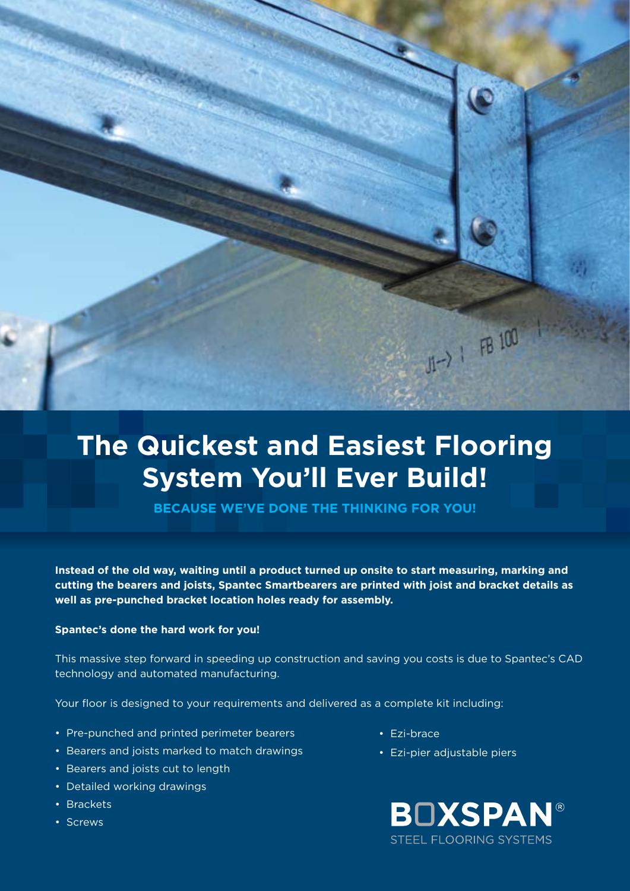

## **The Quickest and Easiest Flooring System You'll Ever Build!**

**Because we've done the thinking for you!**

**Instead of the old way, waiting until a product turned up onsite to start measuring, marking and cutting the bearers and joists, Spantec Smartbearers are printed with joist and bracket details as well as pre-punched bracket location holes ready for assembly.**

## **Spantec's done the hard work for you!**

This massive step forward in speeding up construction and saving you costs is due to Spantec's CAD technology and automated manufacturing.

Your floor is designed to your requirements and delivered as a complete kit including:

- Pre-punched and printed perimeter bearers
- Bearers and joists marked to match drawings
- Bearers and joists cut to length
- Detailed working drawings
- Brackets
- Screws
- Ezi-brace
- Ezi-pier adjustable piers